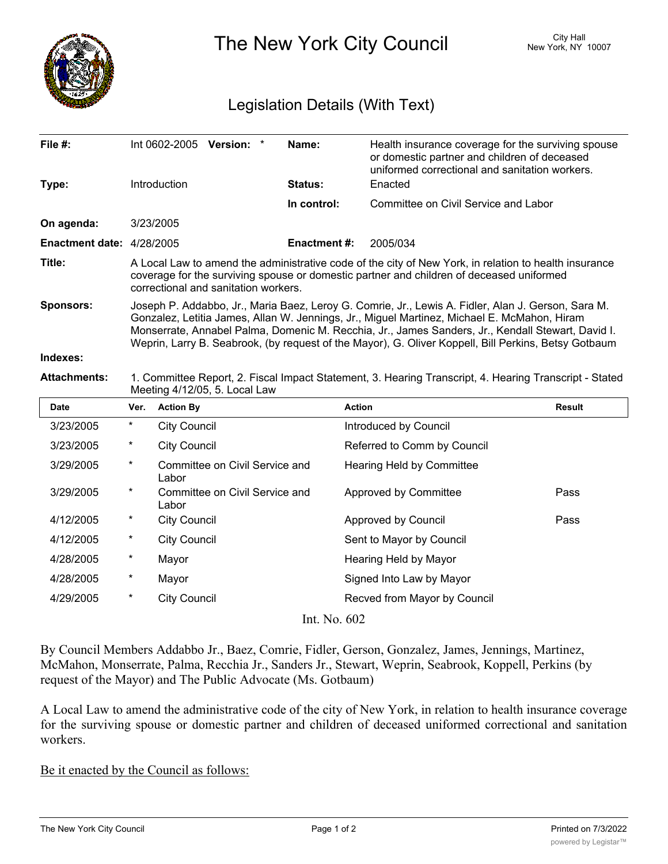

The New York City Council New York, NY 10007

## Legislation Details (With Text)

| File #:                   |                                                                                                                                                                                                                                                                                                                                                                                                                | Int 0602-2005 Version:                  | Name:               | Health insurance coverage for the surviving spouse<br>or domestic partner and children of deceased<br>uniformed correctional and sanitation workers. |               |
|---------------------------|----------------------------------------------------------------------------------------------------------------------------------------------------------------------------------------------------------------------------------------------------------------------------------------------------------------------------------------------------------------------------------------------------------------|-----------------------------------------|---------------------|------------------------------------------------------------------------------------------------------------------------------------------------------|---------------|
| Type:                     |                                                                                                                                                                                                                                                                                                                                                                                                                | Introduction                            | Status:             | Enacted                                                                                                                                              |               |
|                           |                                                                                                                                                                                                                                                                                                                                                                                                                |                                         | In control:         | Committee on Civil Service and Labor                                                                                                                 |               |
| On agenda:                |                                                                                                                                                                                                                                                                                                                                                                                                                | 3/23/2005                               |                     |                                                                                                                                                      |               |
| Enactment date: 4/28/2005 |                                                                                                                                                                                                                                                                                                                                                                                                                |                                         | <b>Enactment #:</b> | 2005/034                                                                                                                                             |               |
| Title:                    | A Local Law to amend the administrative code of the city of New York, in relation to health insurance<br>coverage for the surviving spouse or domestic partner and children of deceased uniformed<br>correctional and sanitation workers.                                                                                                                                                                      |                                         |                     |                                                                                                                                                      |               |
| <b>Sponsors:</b>          | Joseph P. Addabbo, Jr., Maria Baez, Leroy G. Comrie, Jr., Lewis A. Fidler, Alan J. Gerson, Sara M.<br>Gonzalez, Letitia James, Allan W. Jennings, Jr., Miguel Martinez, Michael E. McMahon, Hiram<br>Monserrate, Annabel Palma, Domenic M. Recchia, Jr., James Sanders, Jr., Kendall Stewart, David I.<br>Weprin, Larry B. Seabrook, (by request of the Mayor), G. Oliver Koppell, Bill Perkins, Betsy Gotbaum |                                         |                     |                                                                                                                                                      |               |
| Indexes:                  |                                                                                                                                                                                                                                                                                                                                                                                                                |                                         |                     |                                                                                                                                                      |               |
| <b>Attachments:</b>       | 1. Committee Report, 2. Fiscal Impact Statement, 3. Hearing Transcript, 4. Hearing Transcript - Stated<br>Meeting 4/12/05, 5. Local Law                                                                                                                                                                                                                                                                        |                                         |                     |                                                                                                                                                      |               |
| Date                      | Ver.                                                                                                                                                                                                                                                                                                                                                                                                           | <b>Action By</b>                        |                     | <b>Action</b>                                                                                                                                        | <b>Result</b> |
| 3/23/2005                 | $^{\ast}$                                                                                                                                                                                                                                                                                                                                                                                                      | <b>City Council</b>                     |                     | Introduced by Council                                                                                                                                |               |
| 3/23/2005                 | $\ast$                                                                                                                                                                                                                                                                                                                                                                                                         | <b>City Council</b>                     |                     | Referred to Comm by Council                                                                                                                          |               |
| 3/29/2005                 | $^\star$                                                                                                                                                                                                                                                                                                                                                                                                       | Committee on Civil Service and<br>Labor |                     | <b>Hearing Held by Committee</b>                                                                                                                     |               |
| 3/29/2005                 | $^\star$                                                                                                                                                                                                                                                                                                                                                                                                       | Committee on Civil Service and<br>Labor |                     | Approved by Committee                                                                                                                                | Pass          |
| 4/12/2005                 | $^{\ast}$                                                                                                                                                                                                                                                                                                                                                                                                      | <b>City Council</b>                     |                     | Approved by Council                                                                                                                                  | Pass          |
| 4/12/2005                 | $\ast$                                                                                                                                                                                                                                                                                                                                                                                                         | <b>City Council</b>                     |                     | Sent to Mayor by Council                                                                                                                             |               |
| 4/28/2005                 | $^\star$                                                                                                                                                                                                                                                                                                                                                                                                       | Mayor                                   |                     | Hearing Held by Mayor                                                                                                                                |               |
| 4/28/2005                 | $\ast$                                                                                                                                                                                                                                                                                                                                                                                                         | Mayor                                   |                     | Signed Into Law by Mayor                                                                                                                             |               |
| 4/29/2005                 | $\star$                                                                                                                                                                                                                                                                                                                                                                                                        | <b>City Council</b>                     |                     | Recved from Mayor by Council                                                                                                                         |               |
|                           |                                                                                                                                                                                                                                                                                                                                                                                                                |                                         | Int. No. 602        |                                                                                                                                                      |               |

By Council Members Addabbo Jr., Baez, Comrie, Fidler, Gerson, Gonzalez, James, Jennings, Martinez, McMahon, Monserrate, Palma, Recchia Jr., Sanders Jr., Stewart, Weprin, Seabrook, Koppell, Perkins (by request of the Mayor) and The Public Advocate (Ms. Gotbaum)

A Local Law to amend the administrative code of the city of New York, in relation to health insurance coverage for the surviving spouse or domestic partner and children of deceased uniformed correctional and sanitation workers.

Be it enacted by the Council as follows: